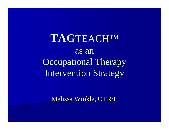**TAG**TEACH™ as an Occupational Therapy Intervention Strategy

Melissa Winkle, OTR/L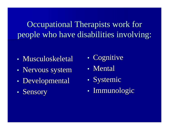Occupational Therapists work for people who have disabilities involving:

- Musculoskeletal
- •• Nervous system
- •• Developmental
- $\bullet$ • Sensory
- $\bullet$ • Cognitive
- Mental
- •• Systemic
- $\bullet$ • Immunologic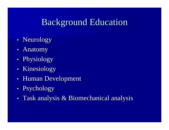# Background Education Background Education

- •• Neurology
- •• Anatomy
- •• Physiology
- •• Kinesiology
- •• Human Development
- $\bullet$ • Psychology
- •• Task analysis  $\&$  Biomechanical analysis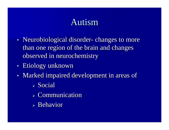# Autism

- •• Neurobiological disorder- changes to more than one region of the brain and changes observed in neurochemistry
- •• Etiology unknown
- •• Marked impaired development in areas of
	- ¾ Social
	- $\triangleright$  Communication
	- $\triangleright$  Behavior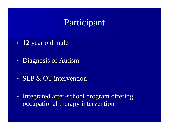# Participant

- •• 12 year old male
- •• Diagnosis of Autism
- SLP  $&$  OT intervention
- •• Integrated after-school program offering occupational therapy intervention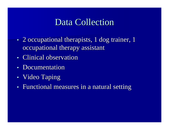# Data Collection

- •• 2 occupational therapists, 1 dog trainer, 1 occupational therapy assistant
- Clinical observation
- •• Documentation
- •Video Taping
- •• Functional measures in a natural setting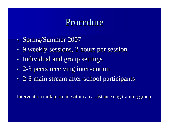#### Procedure

- •• Spring/Summer 2007
- •• 9 weekly sessions, 2 hours per session
- •• Individual and group settings
- •• 2-3 peers receiving intervention
- •• 2-3 main stream after-school participants

Intervention took place in within an assistance dog training group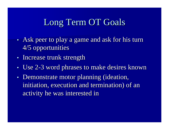## Long Term OT Goals

- •• Ask peer to play a game and ask for his turn 4/5 opportunities 4/5 opportunities
- •• Increase trunk strength
- Use 2-3 word phrases to make desires known
- •• Demonstrate motor planning (ideation, initiation, execution and termination) of an activity he was interested in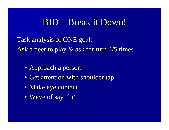#### BID – Break it Down!

Task analysis of ONE goal: Ask a peer to play  $\&$  ask for turn 4/5 times

- Approach a person
- Get attention with shoulder tap
- Make eye contact
- $\bullet\,$  Wave of say "hi"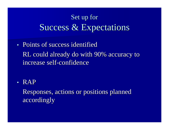# Set up for Success & Expectations

• Points of success identified RL could already do with 90% accuracy to increase self-confidence

• RAP

Responses, actions or positions planned Responses, actions or positions planned accordingly accordingly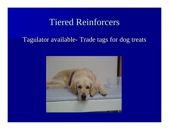# **Tiered Reinforcers**

#### Tagulator available- Trade tags for dog treats

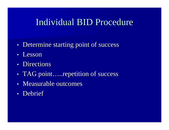## Individual BID Procedure

- •• Determine starting point of success
- Lesson
- Directions
- •• TAG point.....repetition of success
- Measurable outcomes
- Debrief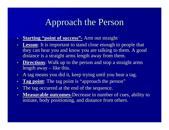## Approach the Person

- •**•** Starting "point of success" **-**- Arm out straight
- •**Lesson:** It is important to stand close enough to people that they can hear you and know you are talking to them. A good distance is a straight arms length away from them.
- **Directions**: Walk up to the person and stop a straight arms length away  $\cdot$  $-$  like this.
- •A tag means you did it, keep trying until you hear a tag.
- •• Tag point: The tag point is "approach the person"
- •The tag occurred at the end of the sequence.
- •• Measurable outcomes-Decrease in number of cues, ability to initiate, body positioning, and distance from others.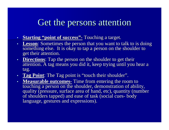## Get the persons attention

- •**•** Starting "point of success" **-**<u>-</u> Touching a target.
- **Lesson**: Sometimes the person that you want to talk to is doing something else. It is okay to tap a person on the shoulder to get their attention. get their attention.
- **Directions**: Tap the person on the shoulder to get their attention. A tag means you did it, keep trying until you hear a tag.
- Tag Point: The Tag point is "touch their shoulder".
- **Measurable outcomes Measurable outcomes -**<u>-</u> Time from entering the room to touching a person on the shoulder, demonstration of ability, quality (pressure, surface area of hand, etc), quantity (number of shoulders tapped) and ease of task (social cues body language, gestures and expressions).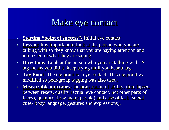## Make eye contact

- •**•** Starting "point of success" **-**<u>-</u> Initial eye contact
- •**Lesson:** It is important to look at the person who you are talking with so they know that you are paying attention and interested in what they are saying.
- **Directions**: Look at the person who you are talking with. A tag means you did it, keep trying until you hear a tag.
- **Tag Point**: The tag point is -- eye contact. This tag point was modified so peer/group tagging was also used.
- **Measurable outcomes Measurable outcomes** -- Demonstration of ability, time lapsed between resets, quality (actual eye contact, not other parts of faces), quantity (how many people) and ease of task (social cues -- body language, gestures and expressions).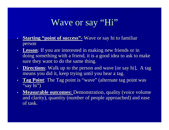# Wave or say "Hi"

- •**Starting "point of success"-** Wave or say hi to familiar person
- **Lesson**: If you are interested in making new friends or in doing something with a friend, it is a good idea to ask to make sure they want to do the same thing.
- **Directions**: Walk up to the person and wave [or say hi], A tag means you did it, keep trying until you hear a tag.
- •**Tag Point:** The Tag point is "wave" (alternate tag point was "say hi")
- Measurable outcomes: Demonstration, quality (voice volume and clarity), quantity (number of people approached) and ease of task.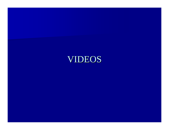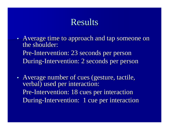## **Results**

- •• Average time to approach and tap someone on the shoulder: Pre-Intervention: 23 seconds per person During-Intervention: 2 seconds per person
- •• Average number of cues (gesture, tactile, verbal) used per interaction: Pre-Intervention: 18 cues per interaction During-Intervention: 1 cue per interaction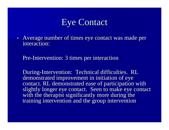## **Eye Contact**

•• Average number of times eye contact was made per interaction:

Pre-Intervention: 3 times per interaction

During-Intervention: Technical difficulties. RL demonstrated improvement in initiation of eye contact. RL demonstrated ease of participation with slightly longer eye contact. Seen to make eye contact. with the therapist significantly more during the training intervention and the group intervention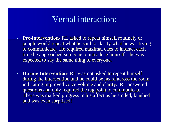#### Verbal interaction:

- **Pre -intervention intervention** -- RL asked to repeat himself routinely or people would repeat what he said to clarify what he was trying to communicate. He required maximal cues to interact each time he approached someone to introduce himself—he was expected to say the same thing to everyone.
- **During Intervention** - RL was not asked to repeat himself during the intervention and he could be heard across the room indicating improved voice volume and clarity. RL answered questions and only required the tag point to communicate. There was marked progress in his affect as he smiled, laughed and was even surprised!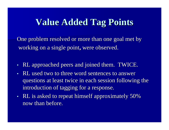## **Value Added Tag Points Value Added Tag Points**

One problem resolved or more than one goal met by working on a single point, were observed.

- •• RL approached peers and joined them. TWICE.
- RL used two to three word sentences to answer questions at least twice in each session following the introduction of tagging for a response.
- •• RL is asked to repeat himself approximately 50% now than before.